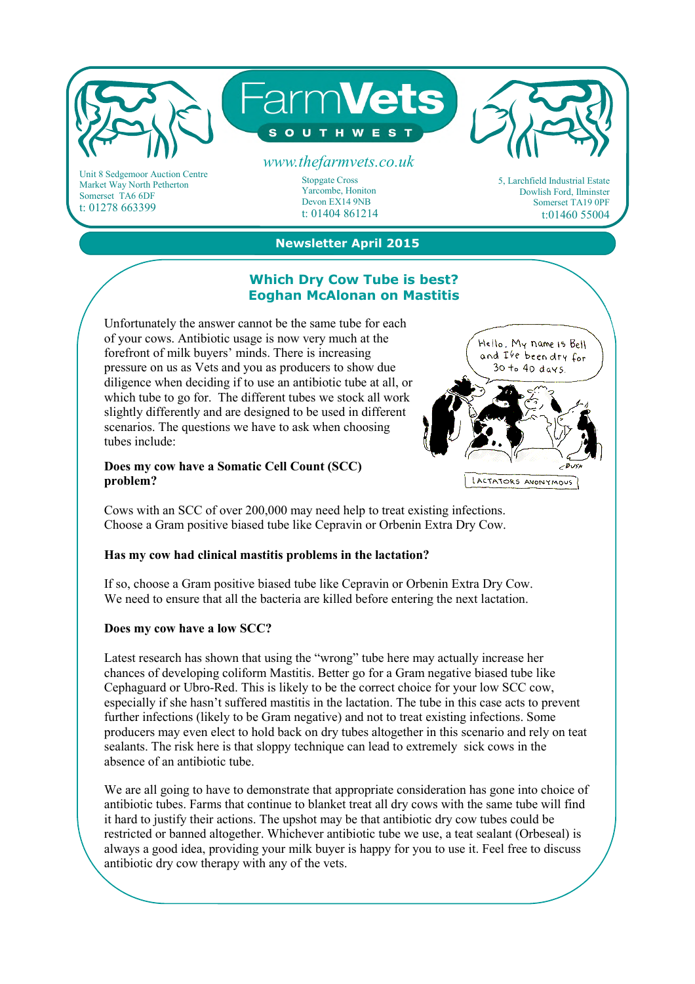

Market Way North Petherton Somerset TA6 6DF t: 01278 663399

Stopgate Cross Yarcombe, Honiton Devon EX14 9NB t: 01404 861214

5, Larchfield Industrial Estate Dowlish Ford, Ilminster Somerset TA19 0PF t:01460 55004

# **Newsletter April 2015**

#### **Which Dry Cow Tube is best? Eoghan McAlonan on Mastitis**

Unfortunately the answer cannot be the same tube for each of your cows. Antibiotic usage is now very much at the forefront of milk buyers' minds. There is increasing pressure on us as Vets and you as producers to show due diligence when deciding if to use an antibiotic tube at all, or which tube to go for. The different tubes we stock all work slightly differently and are designed to be used in different scenarios. The questions we have to ask when choosing tubes include:

#### **Does my cow have a Somatic Cell Count (SCC) problem?**

and I've been dry for  $30 to 40 days$ LACTATORS ANONYMOUS

Hello. My name is Bell

Cows with an SCC of over 200,000 may need help to treat existing infections. Choose a Gram positive biased tube like Cepravin or Orbenin Extra Dry Cow.

## **Has my cow had clinical mastitis problems in the lactation?**

If so, choose a Gram positive biased tube like Cepravin or Orbenin Extra Dry Cow. We need to ensure that all the bacteria are killed before entering the next lactation.

## **Does my cow have a low SCC?**

Latest research has shown that using the "wrong" tube here may actually increase her chances of developing coliform Mastitis. Better go for a Gram negative biased tube like Cephaguard or Ubro-Red. This is likely to be the correct choice for your low SCC cow, especially if she hasn't suffered mastitis in the lactation. The tube in this case acts to prevent further infections (likely to be Gram negative) and not to treat existing infections. Some producers may even elect to hold back on dry tubes altogether in this scenario and rely on teat sealants. The risk here is that sloppy technique can lead to extremely sick cows in the absence of an antibiotic tube.

We are all going to have to demonstrate that appropriate consideration has gone into choice of antibiotic tubes. Farms that continue to blanket treat all dry cows with the same tube will find it hard to justify their actions. The upshot may be that antibiotic dry cow tubes could be restricted or banned altogether. Whichever antibiotic tube we use, a teat sealant (Orbeseal) is always a good idea, providing your milk buyer is happy for you to use it. Feel free to discuss antibiotic dry cow therapy with any of the vets.